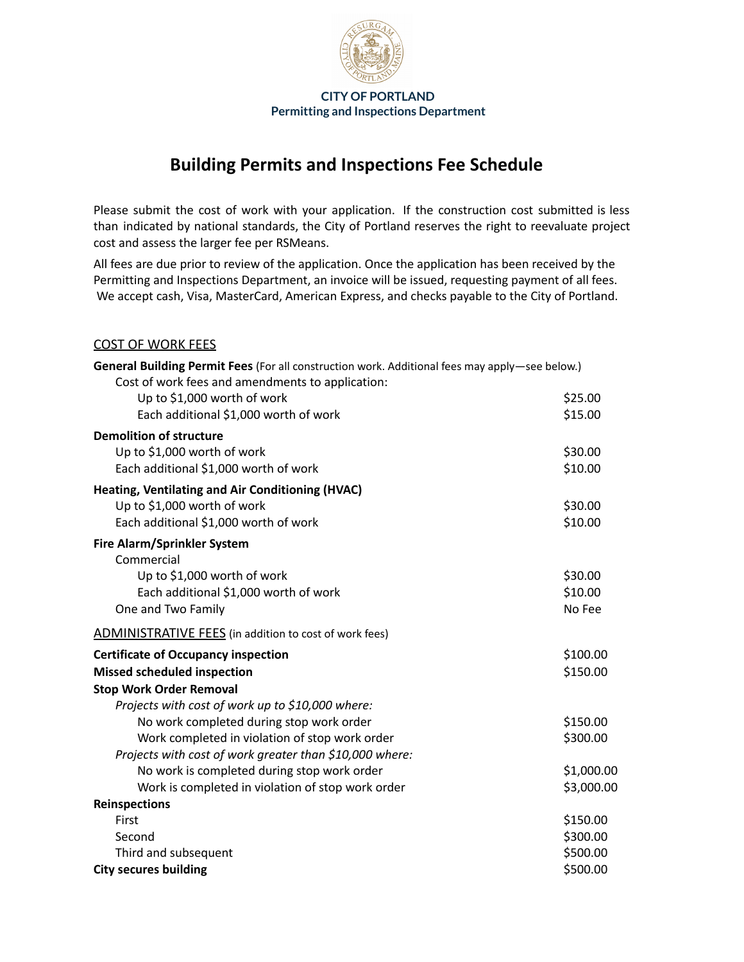

# **Building Permits and Inspections Fee Schedule**

Please submit the cost of work with your application. If the construction cost submitted is less than indicated by national standards, the City of Portland reserves the right to reevaluate project cost and assess the larger fee per RSMeans.

All fees are due prior to review of the application. Once the application has been received by the Permitting and Inspections Department, an invoice will be issued, requesting payment of all fees. We accept cash, Visa, MasterCard, American Express, and checks payable to the City of Portland.

#### COST OF WORK FEES

| General Building Permit Fees (For all construction work. Additional fees may apply-see below.) |            |  |  |
|------------------------------------------------------------------------------------------------|------------|--|--|
| Cost of work fees and amendments to application:                                               |            |  |  |
| Up to \$1,000 worth of work                                                                    | \$25.00    |  |  |
| Each additional \$1,000 worth of work                                                          | \$15.00    |  |  |
| <b>Demolition of structure</b>                                                                 |            |  |  |
| Up to \$1,000 worth of work                                                                    | \$30.00    |  |  |
| Each additional \$1,000 worth of work                                                          | \$10.00    |  |  |
| Heating, Ventilating and Air Conditioning (HVAC)                                               |            |  |  |
| Up to \$1,000 worth of work                                                                    | \$30.00    |  |  |
| Each additional \$1,000 worth of work                                                          | \$10.00    |  |  |
| <b>Fire Alarm/Sprinkler System</b>                                                             |            |  |  |
| Commercial                                                                                     |            |  |  |
| Up to \$1,000 worth of work                                                                    | \$30.00    |  |  |
| Each additional \$1,000 worth of work                                                          | \$10.00    |  |  |
| One and Two Family                                                                             | No Fee     |  |  |
| <b>ADMINISTRATIVE FEES</b> (in addition to cost of work fees)                                  |            |  |  |
| <b>Certificate of Occupancy inspection</b>                                                     | \$100.00   |  |  |
| <b>Missed scheduled inspection</b>                                                             | \$150.00   |  |  |
| <b>Stop Work Order Removal</b>                                                                 |            |  |  |
| Projects with cost of work up to \$10,000 where:                                               |            |  |  |
| No work completed during stop work order                                                       | \$150.00   |  |  |
| Work completed in violation of stop work order                                                 | \$300.00   |  |  |
| Projects with cost of work greater than \$10,000 where:                                        |            |  |  |
| No work is completed during stop work order                                                    | \$1,000.00 |  |  |
| Work is completed in violation of stop work order                                              | \$3,000.00 |  |  |
| <b>Reinspections</b>                                                                           |            |  |  |
| First                                                                                          | \$150.00   |  |  |
| Second                                                                                         | \$300.00   |  |  |
| Third and subsequent                                                                           | \$500.00   |  |  |
| <b>City secures building</b>                                                                   | \$500.00   |  |  |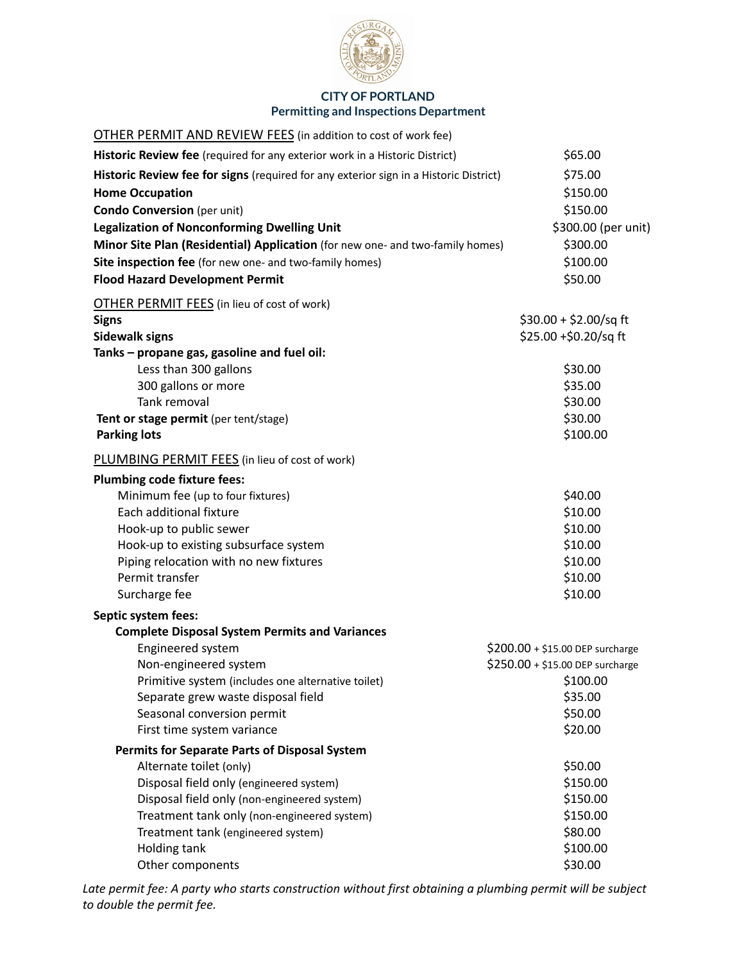

| <b>OTHER PERMIT AND REVIEW FEES</b> (in addition to cost of work fee)                  |                                  |
|----------------------------------------------------------------------------------------|----------------------------------|
| Historic Review fee (required for any exterior work in a Historic District)            | \$65.00                          |
| Historic Review fee for signs (required for any exterior sign in a Historic District)  | \$75.00                          |
| <b>Home Occupation</b>                                                                 | \$150.00                         |
| <b>Condo Conversion</b> (per unit)                                                     | \$150.00                         |
| <b>Legalization of Nonconforming Dwelling Unit</b>                                     | \$300.00 (per unit)              |
| Minor Site Plan (Residential) Application (for new one- and two-family homes)          | \$300.00                         |
| Site inspection fee (for new one- and two-family homes)                                | \$100.00                         |
| <b>Flood Hazard Development Permit</b>                                                 | \$50.00                          |
| <b>OTHER PERMIT FEES</b> (in lieu of cost of work)                                     |                                  |
| <b>Signs</b>                                                                           | \$30.00 + \$2.00/sq ft           |
| <b>Sidewalk signs</b>                                                                  | \$25.00 +\$0.20/sq ft            |
| Tanks - propane gas, gasoline and fuel oil:                                            |                                  |
| Less than 300 gallons                                                                  | \$30.00                          |
| 300 gallons or more                                                                    | \$35.00                          |
| Tank removal                                                                           | \$30.00                          |
| Tent or stage permit (per tent/stage)                                                  | \$30.00                          |
| <b>Parking lots</b>                                                                    | \$100.00                         |
| PLUMBING PERMIT FEES (in lieu of cost of work)                                         |                                  |
| <b>Plumbing code fixture fees:</b>                                                     |                                  |
| Minimum fee (up to four fixtures)                                                      | \$40.00                          |
| Each additional fixture                                                                | \$10.00                          |
| Hook-up to public sewer                                                                | \$10.00                          |
| Hook-up to existing subsurface system                                                  | \$10.00                          |
| Piping relocation with no new fixtures                                                 | \$10.00                          |
| Permit transfer                                                                        | \$10.00                          |
| Surcharge fee                                                                          | \$10.00                          |
| Septic system fees:                                                                    |                                  |
| <b>Complete Disposal System Permits and Variances</b>                                  |                                  |
| Engineered system                                                                      | $$200.00 + $15.00$ DEP surcharge |
| Non-engineered system                                                                  | \$250.00 + \$15.00 DEP surcharge |
| Primitive system (includes one alternative toilet)                                     | \$100.00                         |
| Separate grew waste disposal field                                                     | \$35.00                          |
| Seasonal conversion permit                                                             | \$50.00                          |
| First time system variance                                                             | \$20.00                          |
| <b>Permits for Separate Parts of Disposal System</b>                                   |                                  |
| Alternate toilet (only)                                                                | \$50.00                          |
| Disposal field only (engineered system)<br>Disposal field only (non-engineered system) | \$150.00<br>\$150.00             |
| Treatment tank only (non-engineered system)                                            | \$150.00                         |
| Treatment tank (engineered system)                                                     | \$80.00                          |
| Holding tank                                                                           | \$100.00                         |
| Other components                                                                       | \$30.00                          |

Late permit fee: A party who starts construction without first obtaining a plumbing permit will be subject *to double the permit fee.*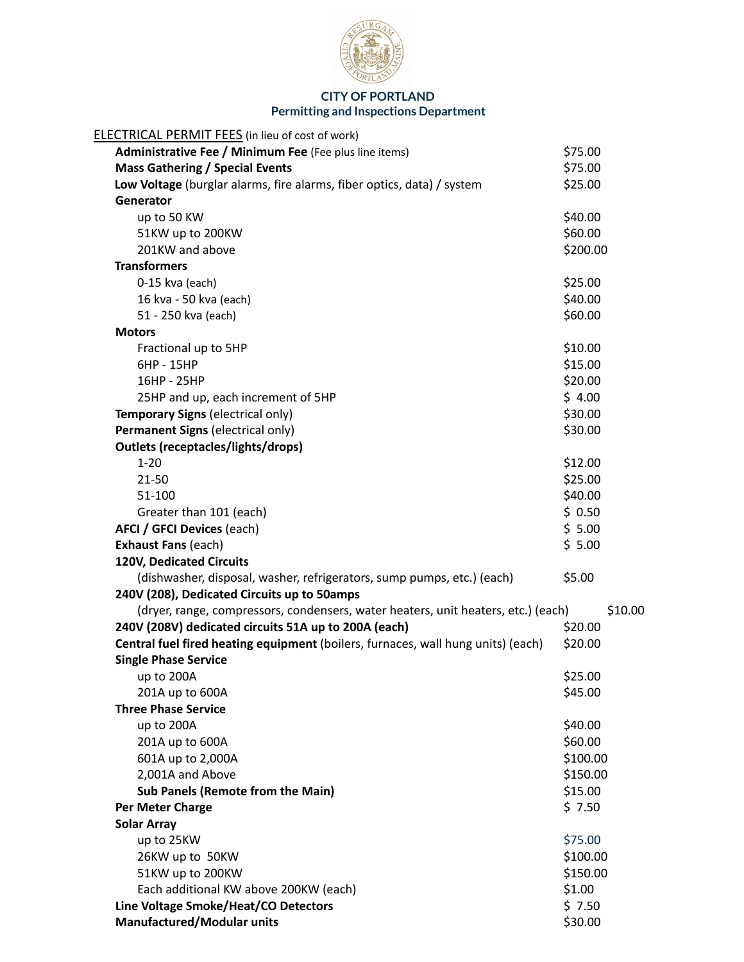

| <b>ELECTRICAL PERMIT FEES</b> (in lieu of cost of work)                           |          |
|-----------------------------------------------------------------------------------|----------|
| Administrative Fee / Minimum Fee (Fee plus line items)                            | \$75.00  |
| <b>Mass Gathering / Special Events</b>                                            | \$75.00  |
| Low Voltage (burglar alarms, fire alarms, fiber optics, data) / system            | \$25.00  |
| Generator                                                                         |          |
| up to 50 KW                                                                       | \$40.00  |
| 51KW up to 200KW                                                                  | \$60.00  |
| 201KW and above                                                                   | \$200.00 |
| <b>Transformers</b>                                                               |          |
| 0-15 kva (each)                                                                   | \$25.00  |
| 16 kva - 50 kva (each)                                                            | \$40.00  |
| 51 - 250 kva (each)                                                               | \$60.00  |
| <b>Motors</b>                                                                     |          |
| Fractional up to 5HP                                                              | \$10.00  |
| 6HP - 15HP                                                                        | \$15.00  |
| 16HP - 25HP                                                                       | \$20.00  |
| 25HP and up, each increment of 5HP                                                | \$4.00   |
| Temporary Signs (electrical only)                                                 | \$30.00  |
| Permanent Signs (electrical only)                                                 | \$30.00  |
| <b>Outlets (receptacles/lights/drops)</b>                                         |          |
| $1 - 20$                                                                          | \$12.00  |
| 21-50                                                                             | \$25.00  |
| 51-100                                                                            | \$40.00  |
| Greater than 101 (each)                                                           | \$0.50   |
| <b>AFCI / GFCI Devices (each)</b>                                                 | \$5.00   |
| <b>Exhaust Fans (each)</b>                                                        | \$5.00   |
| 120V, Dedicated Circuits                                                          |          |
| (dishwasher, disposal, washer, refrigerators, sump pumps, etc.) (each)            | \$5.00   |
| 240V (208), Dedicated Circuits up to 50amps                                       |          |
| (dryer, range, compressors, condensers, water heaters, unit heaters, etc.) (each) | \$10.00  |
| 240V (208V) dedicated circuits 51A up to 200A (each)                              | \$20.00  |
| Central fuel fired heating equipment (boilers, furnaces, wall hung units) (each)  | \$20.00  |
| <b>Single Phase Service</b>                                                       |          |
| up to 200A                                                                        | \$25.00  |
| 201A up to 600A                                                                   | \$45.00  |
| <b>Three Phase Service</b>                                                        |          |
| up to 200A                                                                        | \$40.00  |
| 201A up to 600A                                                                   | \$60.00  |
| 601A up to 2,000A                                                                 | \$100.00 |
| 2,001A and Above                                                                  | \$150.00 |
| <b>Sub Panels (Remote from the Main)</b>                                          | \$15.00  |
| Per Meter Charge                                                                  | \$7.50   |
| <b>Solar Array</b>                                                                |          |
| up to 25KW                                                                        | \$75.00  |
| 26KW up to 50KW                                                                   | \$100.00 |
| 51KW up to 200KW                                                                  | \$150.00 |
| Each additional KW above 200KW (each)                                             | \$1.00   |
| Line Voltage Smoke/Heat/CO Detectors                                              | \$7.50   |
| <b>Manufactured/Modular units</b>                                                 | \$30.00  |